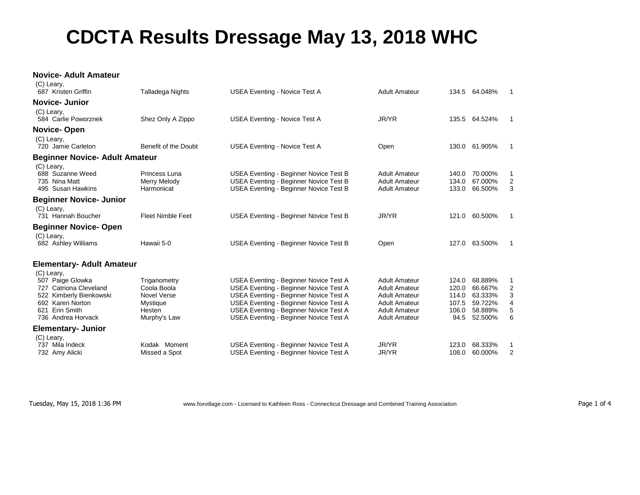## **CDCTA Results Dressage May 13, 2018 WHC**

## **Novice- Adult Amateur**  $(2)$

| (C) Leary,<br>687 Kristen Griffin                                                                                                               | Talladega Nights                                                                 | USEA Eventing - Novice Test A                                                                                                                                                                                                                                          | <b>Adult Amateur</b>                                                                                                                         |                                                   | 134.5 64.048%                                                  | -1                         |
|-------------------------------------------------------------------------------------------------------------------------------------------------|----------------------------------------------------------------------------------|------------------------------------------------------------------------------------------------------------------------------------------------------------------------------------------------------------------------------------------------------------------------|----------------------------------------------------------------------------------------------------------------------------------------------|---------------------------------------------------|----------------------------------------------------------------|----------------------------|
| Novice- Junior                                                                                                                                  |                                                                                  |                                                                                                                                                                                                                                                                        |                                                                                                                                              |                                                   |                                                                |                            |
| (C) Leary,<br>584 Carlie Poworznek                                                                                                              | Shez Only A Zippo                                                                | USEA Eventing - Novice Test A                                                                                                                                                                                                                                          | JR/YR                                                                                                                                        |                                                   | 135.5 64.524%                                                  | -1                         |
| Novice-Open                                                                                                                                     |                                                                                  |                                                                                                                                                                                                                                                                        |                                                                                                                                              |                                                   |                                                                |                            |
| (C) Leary,<br>720 Jamie Carleton                                                                                                                | Benefit of the Doubt                                                             | <b>USEA Eventing - Novice Test A</b>                                                                                                                                                                                                                                   | Open                                                                                                                                         | 130.0                                             | 61.905%                                                        | -1                         |
| <b>Beginner Novice- Adult Amateur</b>                                                                                                           |                                                                                  |                                                                                                                                                                                                                                                                        |                                                                                                                                              |                                                   |                                                                |                            |
| (C) Leary,<br>688 Suzanne Weed<br>735 Nina Matt<br>495 Susan Hawkins                                                                            | Princess Luna<br>Merry Melody<br>Harmonicat                                      | USEA Eventing - Beginner Novice Test B<br><b>USEA Eventing - Beginner Novice Test B</b><br><b>USEA Eventing - Beginner Novice Test B</b>                                                                                                                               | <b>Adult Amateur</b><br><b>Adult Amateur</b><br><b>Adult Amateur</b>                                                                         | 140.0<br>134.0<br>133.0                           | 70.000%<br>67.000%<br>66.500%                                  | 1<br>2<br>3                |
| <b>Beginner Novice- Junior</b>                                                                                                                  |                                                                                  |                                                                                                                                                                                                                                                                        |                                                                                                                                              |                                                   |                                                                |                            |
| (C) Leary,<br>731 Hannah Boucher                                                                                                                | <b>Fleet Nimble Feet</b>                                                         | USEA Eventing - Beginner Novice Test B                                                                                                                                                                                                                                 | JR/YR                                                                                                                                        |                                                   | 121.0 60.500%                                                  | $\mathbf 1$                |
| <b>Beginner Novice-Open</b><br>(C) Leary,                                                                                                       |                                                                                  |                                                                                                                                                                                                                                                                        |                                                                                                                                              |                                                   |                                                                |                            |
| 682 Ashley Williams                                                                                                                             | Hawaii 5-0                                                                       | <b>USEA Eventing - Beginner Novice Test B</b>                                                                                                                                                                                                                          | Open                                                                                                                                         |                                                   | 127.0 63.500%                                                  | -1                         |
| <b>Elementary- Adult Amateur</b>                                                                                                                |                                                                                  |                                                                                                                                                                                                                                                                        |                                                                                                                                              |                                                   |                                                                |                            |
| (C) Leary,<br>507 Paige Glowka<br>727 Catriona Cleveland<br>522 Kimberly Bienkowski<br>692 Karen Norton<br>621 Erin Smith<br>736 Andrea Horvack | Triganometry<br>Coola Boola<br>Novel Verse<br>Mystique<br>Hesten<br>Murphy's Law | USEA Eventing - Beginner Novice Test A<br><b>USEA Eventing - Beginner Novice Test A</b><br>USEA Eventing - Beginner Novice Test A<br>USEA Eventing - Beginner Novice Test A<br>USEA Eventing - Beginner Novice Test A<br><b>USEA Eventing - Beginner Novice Test A</b> | <b>Adult Amateur</b><br><b>Adult Amateur</b><br><b>Adult Amateur</b><br><b>Adult Amateur</b><br><b>Adult Amateur</b><br><b>Adult Amateur</b> | 124.0<br>120.0<br>114.0<br>107.5<br>106.0<br>94.5 | 68.889%<br>66.667%<br>63.333%<br>59.722%<br>58.889%<br>52.500% | 1<br>2<br>3<br>4<br>5<br>6 |
| <b>Elementary- Junior</b>                                                                                                                       |                                                                                  |                                                                                                                                                                                                                                                                        |                                                                                                                                              |                                                   |                                                                |                            |
| (C) Leary,<br>737 Mila Indeck<br>732 Amy Alicki                                                                                                 | Kodak Moment<br>Missed a Spot                                                    | USEA Eventing - Beginner Novice Test A<br>USEA Eventing - Beginner Novice Test A                                                                                                                                                                                       | JR/YR<br>JR/YR                                                                                                                               | 123.0<br>108.0                                    | 68.333%<br>60.000%                                             | 1<br>2                     |
|                                                                                                                                                 |                                                                                  |                                                                                                                                                                                                                                                                        |                                                                                                                                              |                                                   |                                                                |                            |

Tuesday, May 15, 2018 1:36 PM www.foxvillage.com - Licensed to Kathleen Ross - Connecticut Dressage and Combined Training Association Page 1 of 4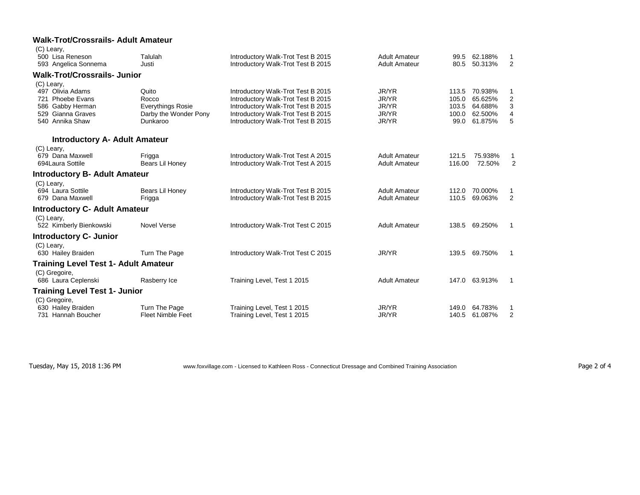## **Walk-Trot/Crossrails- Adult Amateur**  $\sqrt{C}$

| (C) Leary,                                  |                                           |                                                            |                      |                |         |                     |
|---------------------------------------------|-------------------------------------------|------------------------------------------------------------|----------------------|----------------|---------|---------------------|
| 500 Lisa Reneson                            | Talulah                                   | Introductory Walk-Trot Test B 2015                         | <b>Adult Amateur</b> | 99.5           | 62.188% | 1                   |
| 593 Angelica Sonnema                        | Justi                                     | Introductory Walk-Trot Test B 2015                         | <b>Adult Amateur</b> | 80.5           | 50.313% | 2                   |
| <b>Walk-Trot/Crossrails- Junior</b>         |                                           |                                                            |                      |                |         |                     |
| (C) Leary,                                  |                                           |                                                            |                      |                |         |                     |
| 497 Olivia Adams                            | Quito                                     | Introductory Walk-Trot Test B 2015                         | JR/YR                | 113.5          | 70.938% | 1                   |
| 721 Phoebe Evans                            | Rocco                                     | Introductory Walk-Trot Test B 2015                         | JR/YR                | 105.0          | 65.625% | $\overline{2}$      |
| 586 Gabby Herman                            | <b>Everythings Rosie</b>                  | Introductory Walk-Trot Test B 2015                         | JR/YR                | 103.5          | 64.688% | 3                   |
| 529 Gianna Graves                           | Darby the Wonder Pony                     | Introductory Walk-Trot Test B 2015                         | JR/YR                | 100.0          | 62.500% | $\overline{4}$      |
| 540 Annika Shaw                             | Dunkaroo                                  | Introductory Walk-Trot Test B 2015                         | JR/YR                | 99.0           | 61.875% | 5                   |
| <b>Introductory A- Adult Amateur</b>        |                                           |                                                            |                      |                |         |                     |
| (C) Leary,                                  |                                           |                                                            |                      |                |         |                     |
| 679 Dana Maxwell                            | Frigga                                    | Introductory Walk-Trot Test A 2015                         | <b>Adult Amateur</b> | 121.5          | 75.938% | 1                   |
| 694 Laura Sottile                           | Bears Lil Honey                           | Introductory Walk-Trot Test A 2015                         | <b>Adult Amateur</b> | 116.00         | 72.50%  | $\overline{2}$      |
| <b>Introductory B- Adult Amateur</b>        |                                           |                                                            |                      |                |         |                     |
| (C) Leary,                                  |                                           |                                                            |                      |                |         |                     |
| 694 Laura Sottile                           | Bears Lil Honey                           | Introductory Walk-Trot Test B 2015                         | <b>Adult Amateur</b> | 112.0 70.000%  |         | 1                   |
| 679 Dana Maxwell                            | Frigga                                    | Introductory Walk-Trot Test B 2015                         | <b>Adult Amateur</b> | 110.5          | 69.063% | 2                   |
| <b>Introductory C- Adult Amateur</b>        |                                           |                                                            |                      |                |         |                     |
| (C) Leary,                                  |                                           |                                                            |                      |                |         |                     |
| 522 Kimberly Bienkowski                     | <b>Novel Verse</b>                        | Introductory Walk-Trot Test C 2015                         | <b>Adult Amateur</b> | 138.5 69.250%  |         | -1                  |
| <b>Introductory C- Junior</b>               |                                           |                                                            |                      |                |         |                     |
| (C) Leary,                                  |                                           |                                                            |                      |                |         |                     |
| 630 Hailey Braiden                          | Turn The Page                             | Introductory Walk-Trot Test C 2015                         | JR/YR                | 139.5 69.750%  |         | $\mathbf{1}$        |
| <b>Training Level Test 1- Adult Amateur</b> |                                           |                                                            |                      |                |         |                     |
| (C) Gregoire,                               |                                           |                                                            |                      |                |         |                     |
| 686 Laura Ceplenski                         | Rasberry Ice                              | Training Level, Test 1 2015                                | <b>Adult Amateur</b> | 147.0 63.913%  |         | -1                  |
| <b>Training Level Test 1- Junior</b>        |                                           |                                                            |                      |                |         |                     |
| (C) Gregoire,                               |                                           |                                                            | JR/YR                |                | 64.783% |                     |
| 630 Hailey Braiden<br>731 Hannah Boucher    | Turn The Page<br><b>Fleet Nimble Feet</b> | Training Level, Test 1 2015<br>Training Level, Test 1 2015 | JR/YR                | 149.0<br>140.5 | 61.087% | 1<br>$\overline{2}$ |
|                                             |                                           |                                                            |                      |                |         |                     |

Tuesday, May 15, 2018 1:36 PM www.foxvillage.com - Licensed to Kathleen Ross - Connecticut Dressage and Combined Training Association Page 2 of 4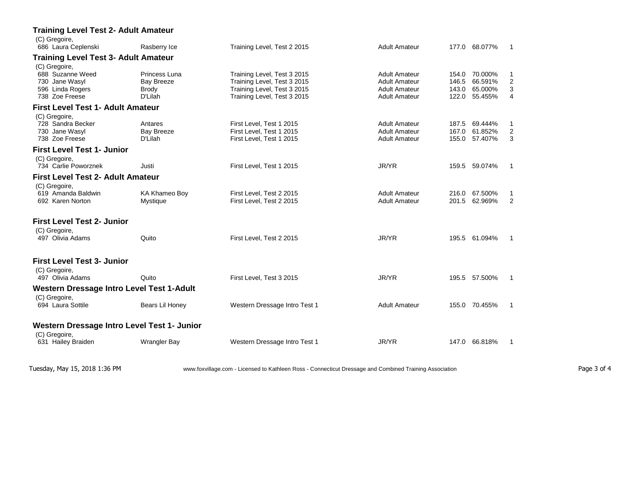| <b>Training Level Test 2- Adult Amateur</b>                                               |                                                                                                         |                                                                                                                          |                                                                      |                                                                        |                      |             |
|-------------------------------------------------------------------------------------------|---------------------------------------------------------------------------------------------------------|--------------------------------------------------------------------------------------------------------------------------|----------------------------------------------------------------------|------------------------------------------------------------------------|----------------------|-------------|
| (C) Gregoire,<br>686 Laura Ceplenski                                                      | Rasberry Ice                                                                                            | Training Level, Test 2 2015                                                                                              | <b>Adult Amateur</b>                                                 | 177.0 68.077%                                                          | $\overline{1}$       |             |
| <b>Training Level Test 3- Adult Amateur</b>                                               |                                                                                                         |                                                                                                                          |                                                                      |                                                                        |                      |             |
| (C) Gregoire,<br>688 Suzanne Weed<br>730 Jane Wasyl<br>596 Linda Rogers<br>738 Zoe Freese | Princess Luna<br>Bay Breeze<br><b>Brody</b><br>D'Lilah                                                  | Training Level, Test 3 2015<br>Training Level, Test 3 2015<br>Training Level, Test 3 2015<br>Training Level, Test 3 2015 | Adult Amateur<br>Adult Amateur<br>Adult Amateur<br>Adult Amateur     | 154.0 70.000%<br>146.5<br>66.591%<br>65.000%<br>143.0<br>122.0 55.455% | -1<br>2<br>3<br>4    |             |
| <b>First Level Test 1- Adult Amateur</b>                                                  |                                                                                                         |                                                                                                                          |                                                                      |                                                                        |                      |             |
| (C) Gregoire,<br>728 Sandra Becker<br>730 Jane Wasyl<br>738 Zoe Freese                    | Antares<br><b>Bay Breeze</b><br>D'Lilah                                                                 | First Level, Test 1 2015<br>First Level, Test 1 2015<br>First Level, Test 1 2015                                         | <b>Adult Amateur</b><br><b>Adult Amateur</b><br><b>Adult Amateur</b> | 187.5 69.444%<br>61.852%<br>167.0<br>155.0 57.407%                     | -1<br>2<br>3         |             |
| <b>First Level Test 1- Junior</b>                                                         |                                                                                                         |                                                                                                                          |                                                                      |                                                                        |                      |             |
| (C) Gregoire,<br>734 Carlie Poworznek                                                     | Justi                                                                                                   | First Level, Test 1 2015                                                                                                 | JR/YR                                                                | 159.5 59.074%                                                          | $\overline{1}$       |             |
| <b>First Level Test 2- Adult Amateur</b>                                                  |                                                                                                         |                                                                                                                          |                                                                      |                                                                        |                      |             |
| (C) Gregoire,<br>619 Amanda Baldwin<br>692 Karen Norton                                   | KA Khameo Boy<br>Mystique                                                                               | First Level, Test 2 2015<br>First Level, Test 2 2015                                                                     | <b>Adult Amateur</b><br>Adult Amateur                                | 216.0 67.500%<br>201.5 62.969%                                         | -1<br>$\overline{2}$ |             |
| <b>First Level Test 2- Junior</b>                                                         |                                                                                                         |                                                                                                                          |                                                                      |                                                                        |                      |             |
| (C) Gregoire,<br>497 Olivia Adams                                                         | Quito                                                                                                   | First Level, Test 2 2015                                                                                                 | JR/YR                                                                | 195.5 61.094%                                                          | $\overline{1}$       |             |
| <b>First Level Test 3- Junior</b>                                                         |                                                                                                         |                                                                                                                          |                                                                      |                                                                        |                      |             |
| (C) Gregoire,<br>497 Olivia Adams                                                         | Quito                                                                                                   | First Level, Test 3 2015                                                                                                 | JR/YR                                                                | 195.5 57.500%                                                          | $\overline{1}$       |             |
| Western Dressage Intro Level Test 1-Adult                                                 |                                                                                                         |                                                                                                                          |                                                                      |                                                                        |                      |             |
| (C) Gregoire,<br>694 Laura Sottile                                                        | Bears Lil Honey                                                                                         | Western Dressage Intro Test 1                                                                                            | <b>Adult Amateur</b>                                                 | 155.0 70.455%                                                          | $\overline{1}$       |             |
| Western Dressage Intro Level Test 1- Junior                                               |                                                                                                         |                                                                                                                          |                                                                      |                                                                        |                      |             |
| (C) Gregoire,<br>631 Hailey Braiden                                                       | Wrangler Bay                                                                                            | Western Dressage Intro Test 1                                                                                            | JR/YR                                                                | 147.0 66.818%                                                          | $\overline{1}$       |             |
| Tuesday, May 15, 2018 1:36 PM                                                             | www.foxvillage.com - Licensed to Kathleen Ross - Connecticut Dressage and Combined Training Association |                                                                                                                          |                                                                      |                                                                        |                      | Page 3 of 4 |